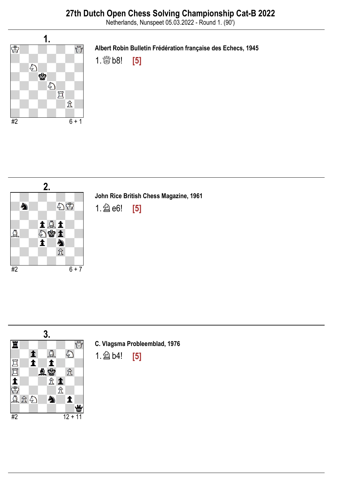Netherlands, Nunspeet 05.03.2022 - Round 1. (90')



Albert Robin Bulletin Frédération française des Echecs, 1945

1.  $\frac{1000}{1000}$  b8! [5]



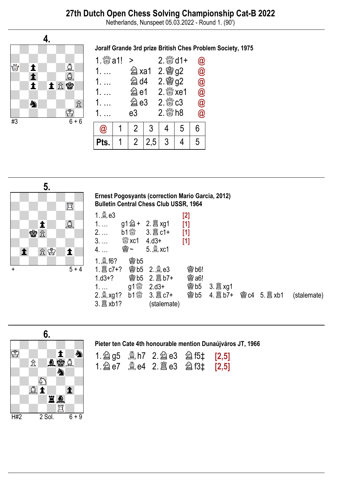## 27th Dutch Open Chess Solving Championship Cat-B 2022

Netherlands, Nunspeet 05.03.2022 - Round 1. (90')



Joralf Grande 3rd prize British Ches Problem Society, 1975

| 1. $\frac{80}{20}$ a1! | $\geq$       |     | $2.$ $\frac{80}{20}$ d1+ |   | $\bm{a}$             |
|------------------------|--------------|-----|--------------------------|---|----------------------|
|                        | <b>② xa1</b> |     | 2. 窗g2                   |   | $\bar{\pmb{\theta}}$ |
|                        | @ d4         |     | 2. 窗g2                   |   | $\circleda$          |
|                        | @e1          |     | $2.$ $\frac{80}{20}$ xe1 |   | $\bar{\bm{\varpi}}$  |
|                        | @ e3         |     | $2.$ $\%$ $c3$           |   | $\circleda$          |
|                        | e3           |     | $2.$ $\frac{80}{20}$ h8  |   | $\bm{\widehat a}$    |
| $\bm{\omega}$          | 2            | 3   |                          | 5 | 6                    |
|                        | 2            | 2,5 | 3                        |   | 5                    |



Ernest Pogosyants (correction Mario Garcia, 2012) Bulletin Central Chess Club USSR, 1964

| 1. 凰 e3        |                                            |                    | [2]          |                    |             |             |
|----------------|--------------------------------------------|--------------------|--------------|--------------------|-------------|-------------|
| $1. \ldots$    |                                            |                    | $[1]$        |                    |             |             |
| $2. \ldots$    |                                            | b1 3. ld c1+       | $[1]$        |                    |             |             |
| $3. \ldots$    | $\frac{100}{1000}$ xc1 4.d3+               |                    | $[1]$        |                    |             |             |
| $4. \ldots$    | \$~                                        | $5.2$ xc1          |              |                    |             |             |
| 1. <b>2f6?</b> | <b>魯b5</b>                                 |                    |              |                    |             |             |
|                |                                            | <b>鬱b5 2.奠e3</b>   | <b>@b6!</b>  |                    |             |             |
| $1. d3 + ?$    |                                            | <b>@b5 2. 窗b7+</b> | <b>鬱 a6!</b> |                    |             |             |
|                |                                            | $2.03+$            | <b>鬱b5</b>   |                    |             |             |
|                | $b1$ $\overset{\text{\tiny{4M}}}{\otimes}$ |                    |              | <b>@b5</b> 4. 2b7+ | 窗c4 5. axb1 | (stalemate) |
|                |                                            | (stalemate)        |              |                    |             |             |



### Pieter ten Cate 4th honourable mention Dunaújváros JT, 1966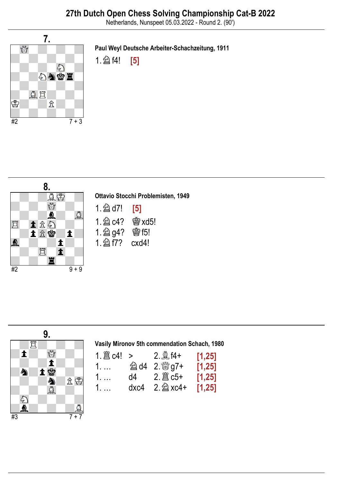Netherlands, Nunspeet 05.03.2022 - Round 2. (90')



Paul Weyl Deutsche Arbeiter-Schachzeitung, 1911





| Ottavio Stocchi Problemisten, 1949 |  |  |  |  |  |
|------------------------------------|--|--|--|--|--|
| $1.$ 2 d7! [5]                     |  |  |  |  |  |
| $1.$ $2$ $c4$ ? ■ xd5!             |  |  |  |  |  |
| 1. @ g4? 窗f5!                      |  |  |  |  |  |
| 1. 2 f7? cxd4!                     |  |  |  |  |  |



| Vasily Mironov 5th commendation Schach, 1980 |  |  |  |
|----------------------------------------------|--|--|--|
|----------------------------------------------|--|--|--|

| 1. $\mathbb{E}$ c4! > |      | $2.94 +$   | [1, 25] |
|-----------------------|------|------------|---------|
| 1.                    |      |            | [1,25]  |
| 1.                    |      |            | [1,25]  |
| 1.                    | dxc4 | $2.2$ xc4+ | [1,25]  |